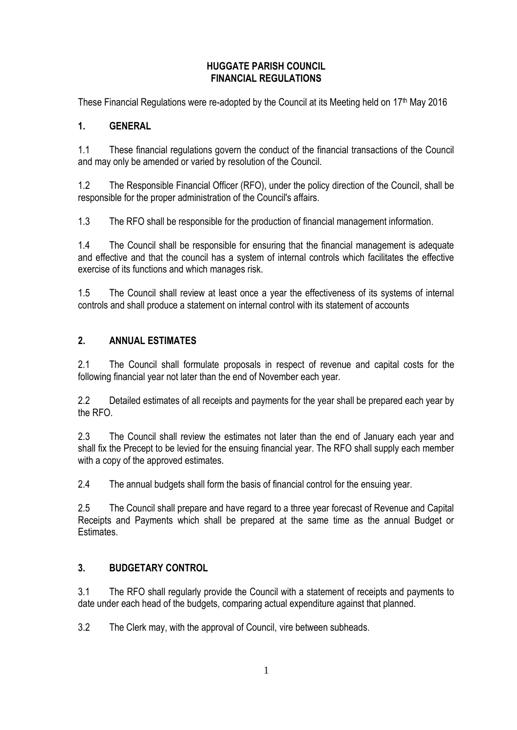#### **HUGGATE PARISH COUNCIL FINANCIAL REGULATIONS**

These Financial Regulations were re-adopted by the Council at its Meeting held on 17<sup>th</sup> May 2016

### **1. GENERAL**

1.1 These financial regulations govern the conduct of the financial transactions of the Council and may only be amended or varied by resolution of the Council.

1.2 The Responsible Financial Officer (RFO), under the policy direction of the Council, shall be responsible for the proper administration of the Council's affairs.

1.3 The RFO shall be responsible for the production of financial management information.

1.4 The Council shall be responsible for ensuring that the financial management is adequate and effective and that the council has a system of internal controls which facilitates the effective exercise of its functions and which manages risk.

1.5 The Council shall review at least once a year the effectiveness of its systems of internal controls and shall produce a statement on internal control with its statement of accounts

#### **2. ANNUAL ESTIMATES**

2.1 The Council shall formulate proposals in respect of revenue and capital costs for the following financial year not later than the end of November each year.

2.2 Detailed estimates of all receipts and payments for the year shall be prepared each year by the RFO.

2.3 The Council shall review the estimates not later than the end of January each year and shall fix the Precept to be levied for the ensuing financial year. The RFO shall supply each member with a copy of the approved estimates.

2.4 The annual budgets shall form the basis of financial control for the ensuing year.

2.5 The Council shall prepare and have regard to a three year forecast of Revenue and Capital Receipts and Payments which shall be prepared at the same time as the annual Budget or **Estimates** 

## **3. BUDGETARY CONTROL**

3.1 The RFO shall regularly provide the Council with a statement of receipts and payments to date under each head of the budgets, comparing actual expenditure against that planned.

3.2 The Clerk may, with the approval of Council, vire between subheads.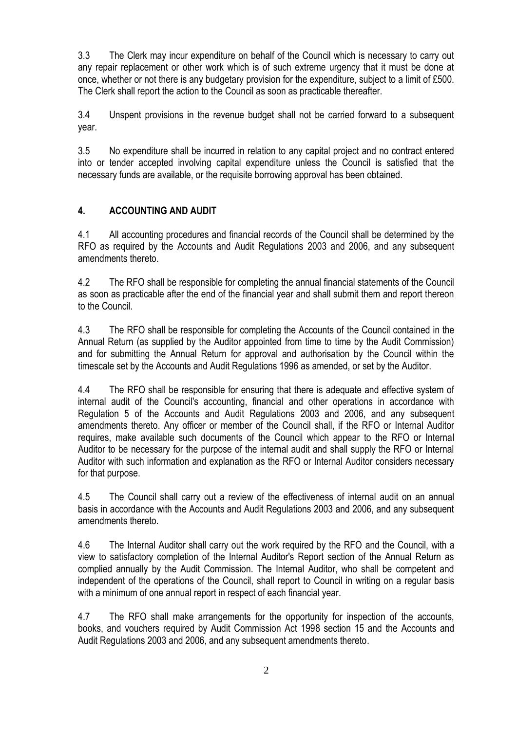3.3 The Clerk may incur expenditure on behalf of the Council which is necessary to carry out any repair replacement or other work which is of such extreme urgency that it must be done at once, whether or not there is any budgetary provision for the expenditure, subject to a limit of £500. The Clerk shall report the action to the Council as soon as practicable thereafter.

3.4 Unspent provisions in the revenue budget shall not be carried forward to a subsequent year.

3.5 No expenditure shall be incurred in relation to any capital project and no contract entered into or tender accepted involving capital expenditure unless the Council is satisfied that the necessary funds are available, or the requisite borrowing approval has been obtained.

## **4. ACCOUNTING AND AUDIT**

4.1 All accounting procedures and financial records of the Council shall be determined by the RFO as required by the Accounts and Audit Regulations 2003 and 2006, and any subsequent amendments thereto.

4.2 The RFO shall be responsible for completing the annual financial statements of the Council as soon as practicable after the end of the financial year and shall submit them and report thereon to the Council.

4.3 The RFO shall be responsible for completing the Accounts of the Council contained in the Annual Return (as supplied by the Auditor appointed from time to time by the Audit Commission) and for submitting the Annual Return for approval and authorisation by the Council within the timescale set by the Accounts and Audit Regulations 1996 as amended, or set by the Auditor.

4.4 The RFO shall be responsible for ensuring that there is adequate and effective system of internal audit of the Council's accounting, financial and other operations in accordance with Regulation 5 of the Accounts and Audit Regulations 2003 and 2006, and any subsequent amendments thereto. Any officer or member of the Council shall, if the RFO or Internal Auditor requires, make available such documents of the Council which appear to the RFO or Internal Auditor to be necessary for the purpose of the internal audit and shall supply the RFO or Internal Auditor with such information and explanation as the RFO or Internal Auditor considers necessary for that purpose.

4.5 The Council shall carry out a review of the effectiveness of internal audit on an annual basis in accordance with the Accounts and Audit Regulations 2003 and 2006, and any subsequent amendments thereto.

4.6 The Internal Auditor shall carry out the work required by the RFO and the Council, with a view to satisfactory completion of the Internal Auditor's Report section of the Annual Return as complied annually by the Audit Commission. The Internal Auditor, who shall be competent and independent of the operations of the Council, shall report to Council in writing on a regular basis with a minimum of one annual report in respect of each financial year.

4.7 The RFO shall make arrangements for the opportunity for inspection of the accounts, books, and vouchers required by Audit Commission Act 1998 section 15 and the Accounts and Audit Regulations 2003 and 2006, and any subsequent amendments thereto.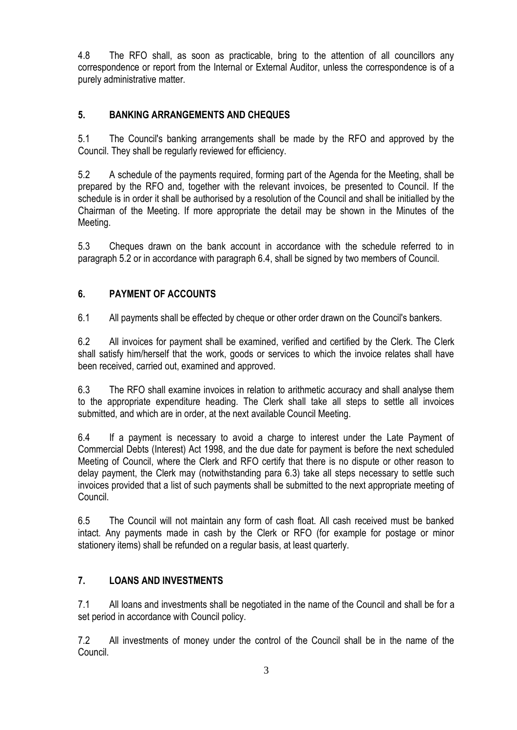4.8 The RFO shall, as soon as practicable, bring to the attention of all councillors any correspondence or report from the Internal or External Auditor, unless the correspondence is of a purely administrative matter.

## **5. BANKING ARRANGEMENTS AND CHEQUES**

5.1 The Council's banking arrangements shall be made by the RFO and approved by the Council. They shall be regularly reviewed for efficiency.

5.2 A schedule of the payments required, forming part of the Agenda for the Meeting, shall be prepared by the RFO and, together with the relevant invoices, be presented to Council. If the schedule is in order it shall be authorised by a resolution of the Council and shall be initialled by the Chairman of the Meeting. If more appropriate the detail may be shown in the Minutes of the Meeting.

5.3 Cheques drawn on the bank account in accordance with the schedule referred to in paragraph 5.2 or in accordance with paragraph 6.4, shall be signed by two members of Council.

# **6. PAYMENT OF ACCOUNTS**

6.1 All payments shall be effected by cheque or other order drawn on the Council's bankers.

6.2 All invoices for payment shall be examined, verified and certified by the Clerk. The Clerk shall satisfy him/herself that the work, goods or services to which the invoice relates shall have been received, carried out, examined and approved.

6.3 The RFO shall examine invoices in relation to arithmetic accuracy and shall analyse them to the appropriate expenditure heading. The Clerk shall take all steps to settle all invoices submitted, and which are in order, at the next available Council Meeting.

6.4 If a payment is necessary to avoid a charge to interest under the Late Payment of Commercial Debts (Interest) Act 1998, and the due date for payment is before the next scheduled Meeting of Council, where the Clerk and RFO certify that there is no dispute or other reason to delay payment, the Clerk may (notwithstanding para 6.3) take all steps necessary to settle such invoices provided that a list of such payments shall be submitted to the next appropriate meeting of Council.

6.5 The Council will not maintain any form of cash float. All cash received must be banked intact. Any payments made in cash by the Clerk or RFO (for example for postage or minor stationery items) shall be refunded on a regular basis, at least quarterly.

## **7. LOANS AND INVESTMENTS**

7.1 All loans and investments shall be negotiated in the name of the Council and shall be for a set period in accordance with Council policy.

7.2 All investments of money under the control of the Council shall be in the name of the Council.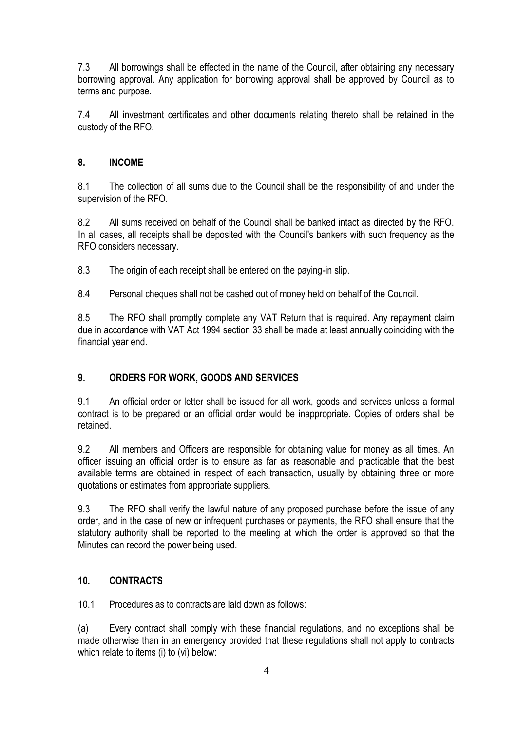7.3 All borrowings shall be effected in the name of the Council, after obtaining any necessary borrowing approval. Any application for borrowing approval shall be approved by Council as to terms and purpose.

7.4 All investment certificates and other documents relating thereto shall be retained in the custody of the RFO.

#### **8. INCOME**

8.1 The collection of all sums due to the Council shall be the responsibility of and under the supervision of the RFO.

8.2 All sums received on behalf of the Council shall be banked intact as directed by the RFO. In all cases, all receipts shall be deposited with the Council's bankers with such frequency as the RFO considers necessary.

8.3 The origin of each receipt shall be entered on the paying-in slip.

8.4 Personal cheques shall not be cashed out of money held on behalf of the Council.

8.5 The RFO shall promptly complete any VAT Return that is required. Any repayment claim due in accordance with VAT Act 1994 section 33 shall be made at least annually coinciding with the financial year end.

## **9. ORDERS FOR WORK, GOODS AND SERVICES**

9.1 An official order or letter shall be issued for all work, goods and services unless a formal contract is to be prepared or an official order would be inappropriate. Copies of orders shall be retained.

9.2 All members and Officers are responsible for obtaining value for money as all times. An officer issuing an official order is to ensure as far as reasonable and practicable that the best available terms are obtained in respect of each transaction, usually by obtaining three or more quotations or estimates from appropriate suppliers.

9.3 The RFO shall verify the lawful nature of any proposed purchase before the issue of any order, and in the case of new or infrequent purchases or payments, the RFO shall ensure that the statutory authority shall be reported to the meeting at which the order is approved so that the Minutes can record the power being used.

## **10. CONTRACTS**

10.1 Procedures as to contracts are laid down as follows:

(a) Every contract shall comply with these financial regulations, and no exceptions shall be made otherwise than in an emergency provided that these regulations shall not apply to contracts which relate to items (i) to (vi) below: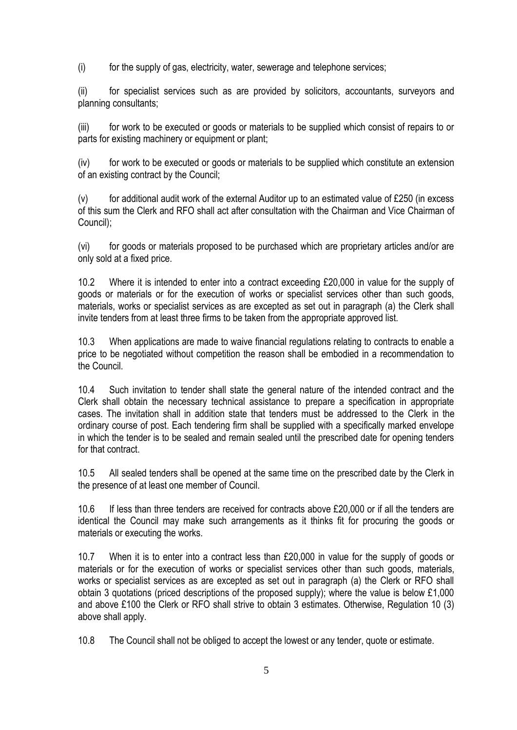(i) for the supply of gas, electricity, water, sewerage and telephone services;

(ii) for specialist services such as are provided by solicitors, accountants, surveyors and planning consultants;

(iii) for work to be executed or goods or materials to be supplied which consist of repairs to or parts for existing machinery or equipment or plant;

 $(iv)$  for work to be executed or goods or materials to be supplied which constitute an extension of an existing contract by the Council;

 $(v)$  for additional audit work of the external Auditor up to an estimated value of £250 (in excess of this sum the Clerk and RFO shall act after consultation with the Chairman and Vice Chairman of Council);

(vi) for goods or materials proposed to be purchased which are proprietary articles and/or are only sold at a fixed price.

10.2 Where it is intended to enter into a contract exceeding £20,000 in value for the supply of goods or materials or for the execution of works or specialist services other than such goods, materials, works or specialist services as are excepted as set out in paragraph (a) the Clerk shall invite tenders from at least three firms to be taken from the appropriate approved list.

10.3 When applications are made to waive financial regulations relating to contracts to enable a price to be negotiated without competition the reason shall be embodied in a recommendation to the Council.

10.4 Such invitation to tender shall state the general nature of the intended contract and the Clerk shall obtain the necessary technical assistance to prepare a specification in appropriate cases. The invitation shall in addition state that tenders must be addressed to the Clerk in the ordinary course of post. Each tendering firm shall be supplied with a specifically marked envelope in which the tender is to be sealed and remain sealed until the prescribed date for opening tenders for that contract.

10.5 All sealed tenders shall be opened at the same time on the prescribed date by the Clerk in the presence of at least one member of Council.

10.6 If less than three tenders are received for contracts above £20,000 or if all the tenders are identical the Council may make such arrangements as it thinks fit for procuring the goods or materials or executing the works.

10.7 When it is to enter into a contract less than £20,000 in value for the supply of goods or materials or for the execution of works or specialist services other than such goods, materials, works or specialist services as are excepted as set out in paragraph (a) the Clerk or RFO shall obtain 3 quotations (priced descriptions of the proposed supply); where the value is below £1,000 and above £100 the Clerk or RFO shall strive to obtain 3 estimates. Otherwise, Regulation 10 (3) above shall apply.

10.8 The Council shall not be obliged to accept the lowest or any tender, quote or estimate.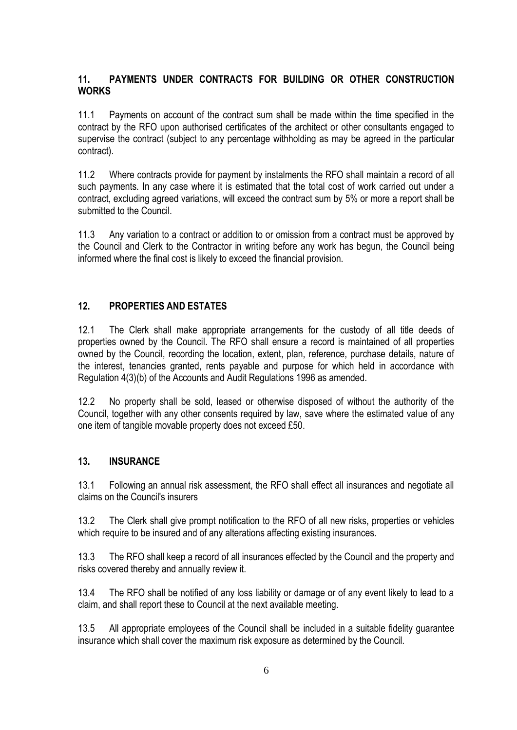### **11. PAYMENTS UNDER CONTRACTS FOR BUILDING OR OTHER CONSTRUCTION WORKS**

11.1 Payments on account of the contract sum shall be made within the time specified in the contract by the RFO upon authorised certificates of the architect or other consultants engaged to supervise the contract (subject to any percentage withholding as may be agreed in the particular contract).

11.2 Where contracts provide for payment by instalments the RFO shall maintain a record of all such payments. In any case where it is estimated that the total cost of work carried out under a contract, excluding agreed variations, will exceed the contract sum by 5% or more a report shall be submitted to the Council.

11.3 Any variation to a contract or addition to or omission from a contract must be approved by the Council and Clerk to the Contractor in writing before any work has begun, the Council being informed where the final cost is likely to exceed the financial provision.

# **12. PROPERTIES AND ESTATES**

12.1 The Clerk shall make appropriate arrangements for the custody of all title deeds of properties owned by the Council. The RFO shall ensure a record is maintained of all properties owned by the Council, recording the location, extent, plan, reference, purchase details, nature of the interest, tenancies granted, rents payable and purpose for which held in accordance with Regulation 4(3)(b) of the Accounts and Audit Regulations 1996 as amended.

12.2 No property shall be sold, leased or otherwise disposed of without the authority of the Council, together with any other consents required by law, save where the estimated value of any one item of tangible movable property does not exceed £50.

#### **13. INSURANCE**

13.1 Following an annual risk assessment, the RFO shall effect all insurances and negotiate all claims on the Council's insurers

13.2 The Clerk shall give prompt notification to the RFO of all new risks, properties or vehicles which require to be insured and of any alterations affecting existing insurances.

13.3 The RFO shall keep a record of all insurances effected by the Council and the property and risks covered thereby and annually review it.

13.4 The RFO shall be notified of any loss liability or damage or of any event likely to lead to a claim, and shall report these to Council at the next available meeting.

13.5 All appropriate employees of the Council shall be included in a suitable fidelity guarantee insurance which shall cover the maximum risk exposure as determined by the Council.